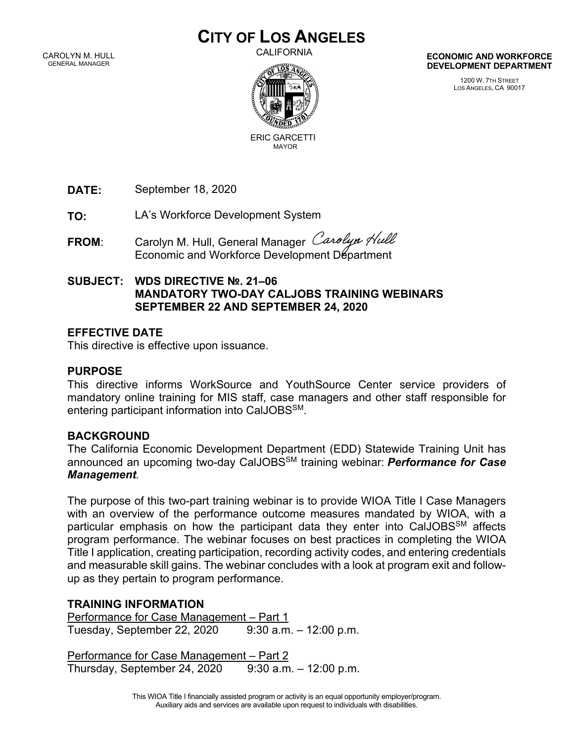# **CITY OF LOS ANGELES**

CAROLYN M. HULL GENERAL MANAGER

CALIFORNIA



ERIC GARCETTIMAYOR

**DATE:**  September 18, 2020

**TO:** LA's Workforce Development System

FROM: Carolyn M. Hull, General Manager Carolyn Hull Economic and Workforce Development Department

#### **SUBJECT: WDS DIRECTIVE №. 21–06 MANDATORY TWO-DAY CALJOBS TRAINING WEBINARS SEPTEMBER 22 AND SEPTEMBER 24, 2020**

## **EFFECTIVE DATE**

This directive is effective upon issuance.

#### **PURPOSE**

This directive informs WorkSource and YouthSource Center service providers of mandatory online training for MIS staff, case managers and other staff responsible for entering participant information into CalJOBSSM.

## **BACKGROUND**

The California Economic Development Department (EDD) Statewide Training Unit has announced an upcoming two-day CalJOBSSM training webinar: *Performance for Case Management.*

The purpose of this two-part training webinar is to provide WIOA Title I Case Managers with an overview of the performance outcome measures mandated by WIOA, with a particular emphasis on how the participant data they enter into CalJOBSSM affects program performance. The webinar focuses on best practices in completing the WIOA Title I application, creating participation, recording activity codes, and entering credentials and measurable skill gains. The webinar concludes with a look at program exit and followup as they pertain to program performance.

## **TRAINING INFORMATION**

Performance for Case Management – Part 1 Tuesday, September 22, 2020 9:30 a.m. – 12:00 p.m.

Performance for Case Management – Part 2 Thursday, September 24, 2020  $9:30$  a.m.  $-12:00$  p.m. **ECONOMIC AND WORKFORCE DEVELOPMENT DEPARTMENT**

> 1200 W. 7TH STREET LOS ANGELES, CA 90017